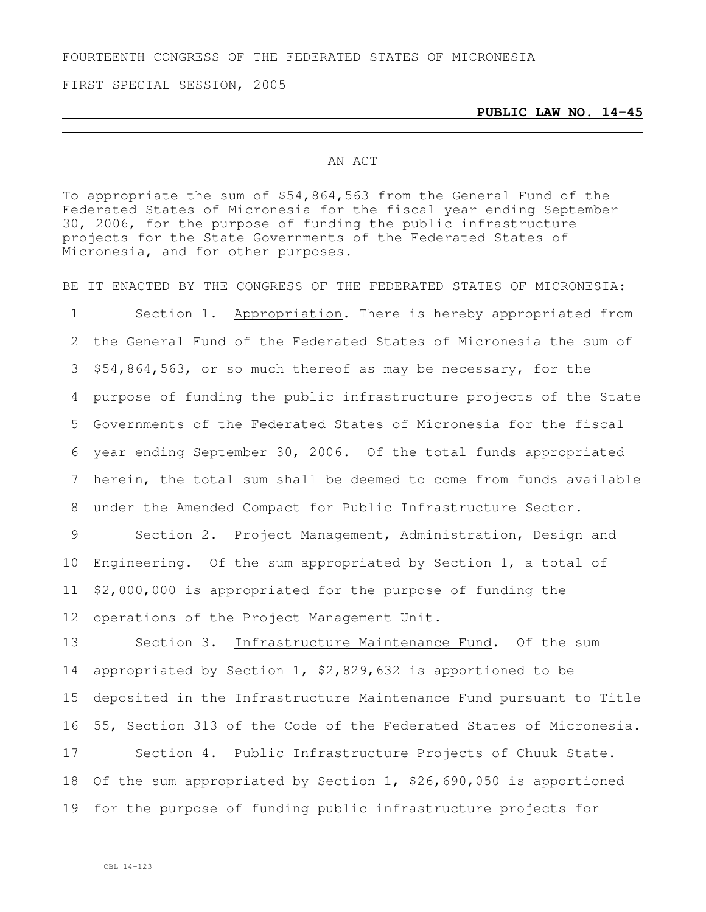FOURTEENTH CONGRESS OF THE FEDERATED STATES OF MICRONESIA

FIRST SPECIAL SESSION, 2005

**PUBLIC LAW NO. 14-45**

## AN ACT

To appropriate the sum of \$54,864,563 from the General Fund of the Federated States of Micronesia for the fiscal year ending September 30, 2006, for the purpose of funding the public infrastructure projects for the State Governments of the Federated States of Micronesia, and for other purposes.

BE IT ENACTED BY THE CONGRESS OF THE FEDERATED STATES OF MICRONESIA:

1 Section 1. Appropriation. There is hereby appropriated from the General Fund of the Federated States of Micronesia the sum of \$54,864,563, or so much thereof as may be necessary, for the purpose of funding the public infrastructure projects of the State Governments of the Federated States of Micronesia for the fiscal year ending September 30, 2006. Of the total funds appropriated herein, the total sum shall be deemed to come from funds available under the Amended Compact for Public Infrastructure Sector.

9 Section 2. Project Management, Administration, Design and Engineering. Of the sum appropriated by Section 1, a total of \$2,000,000 is appropriated for the purpose of funding the operations of the Project Management Unit.

13 Section 3. Infrastructure Maintenance Fund. Of the sum appropriated by Section 1, \$2,829,632 is apportioned to be deposited in the Infrastructure Maintenance Fund pursuant to Title 55, Section 313 of the Code of the Federated States of Micronesia.

17 Section 4. Public Infrastructure Projects of Chuuk State. 18 Of the sum appropriated by Section 1, \$26,690,050 is apportioned 19 for the purpose of funding public infrastructure projects for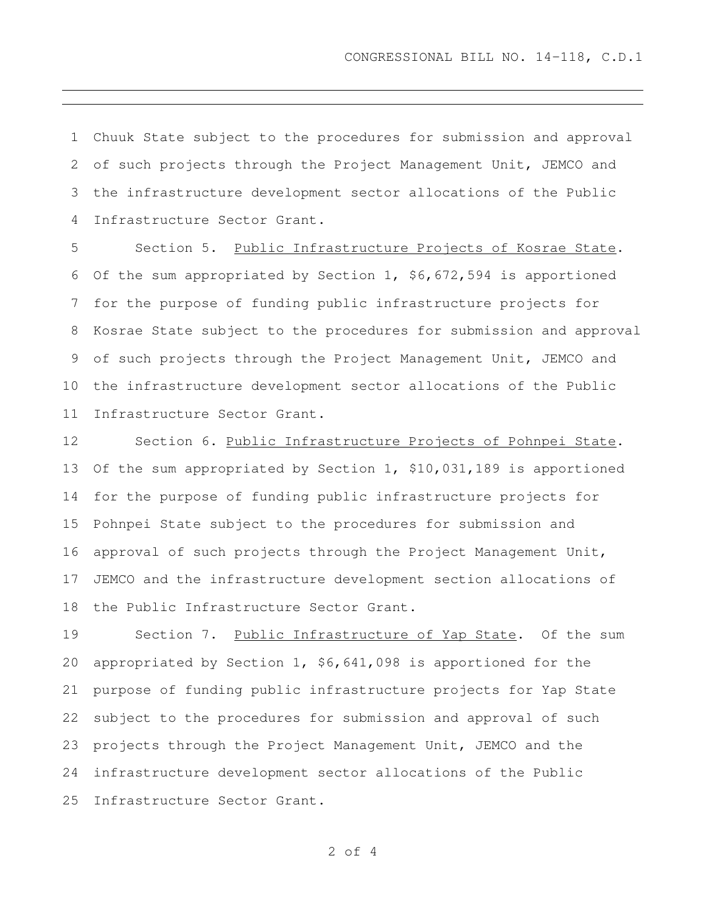Chuuk State subject to the procedures for submission and approval of such projects through the Project Management Unit, JEMCO and the infrastructure development sector allocations of the Public Infrastructure Sector Grant.

 Section 5. Public Infrastructure Projects of Kosrae State. Of the sum appropriated by Section 1, \$6,672,594 is apportioned for the purpose of funding public infrastructure projects for Kosrae State subject to the procedures for submission and approval of such projects through the Project Management Unit, JEMCO and the infrastructure development sector allocations of the Public Infrastructure Sector Grant.

12 Section 6. Public Infrastructure Projects of Pohnpei State. Of the sum appropriated by Section 1, \$10,031,189 is apportioned for the purpose of funding public infrastructure projects for Pohnpei State subject to the procedures for submission and approval of such projects through the Project Management Unit, JEMCO and the infrastructure development section allocations of the Public Infrastructure Sector Grant.

 Section 7. Public Infrastructure of Yap State. Of the sum appropriated by Section 1, \$6,641,098 is apportioned for the purpose of funding public infrastructure projects for Yap State subject to the procedures for submission and approval of such projects through the Project Management Unit, JEMCO and the infrastructure development sector allocations of the Public Infrastructure Sector Grant.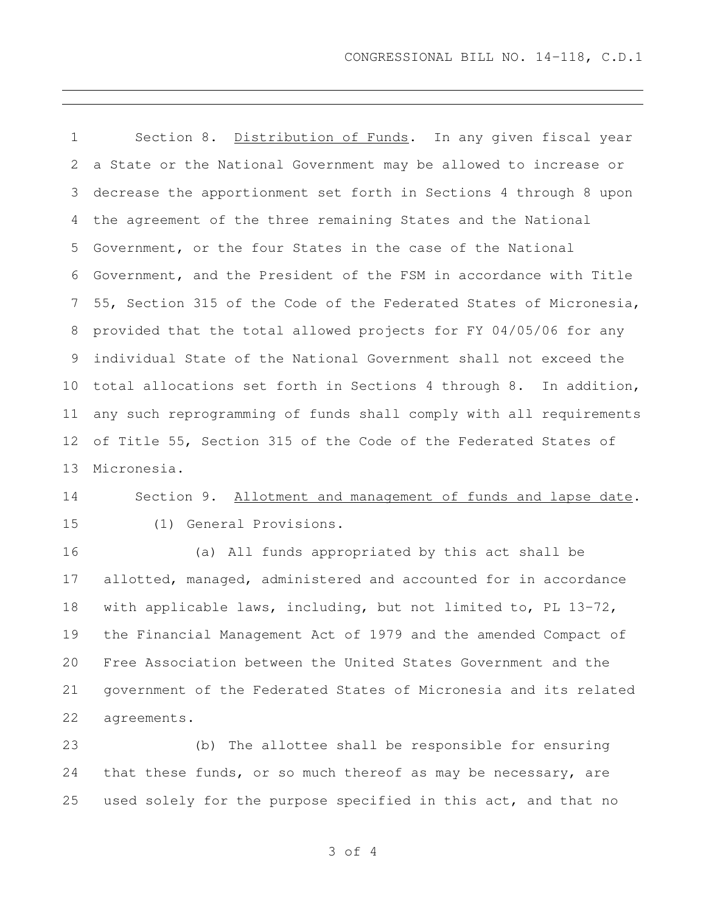1 Section 8. Distribution of Funds. In any given fiscal year a State or the National Government may be allowed to increase or decrease the apportionment set forth in Sections 4 through 8 upon the agreement of the three remaining States and the National Government, or the four States in the case of the National Government, and the President of the FSM in accordance with Title 55, Section 315 of the Code of the Federated States of Micronesia, provided that the total allowed projects for FY 04/05/06 for any individual State of the National Government shall not exceed the total allocations set forth in Sections 4 through 8. In addition, any such reprogramming of funds shall comply with all requirements of Title 55, Section 315 of the Code of the Federated States of Micronesia.

 Section 9. Allotment and management of funds and lapse date. (1) General Provisions.

 (a) All funds appropriated by this act shall be allotted, managed, administered and accounted for in accordance with applicable laws, including, but not limited to, PL 13-72, the Financial Management Act of 1979 and the amended Compact of Free Association between the United States Government and the government of the Federated States of Micronesia and its related agreements.

 (b) The allottee shall be responsible for ensuring that these funds, or so much thereof as may be necessary, are used solely for the purpose specified in this act, and that no

of 4